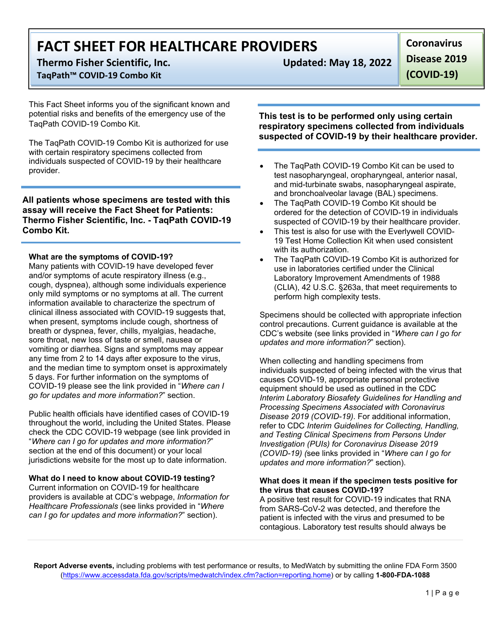# **FACT SHEET FOR HEALTHCARE PROVIDERS**

**Thermo Fisher Scientific, Inc. Updated: May 18, 2022**

# **TaqPath™ COVID-19 Combo Kit**

This Fact Sheet informs you of the significant known and potential risks and benefits of the emergency use of the TaqPath COVID-19 Combo Kit.

The TaqPath COVID-19 Combo Kit is authorized for use with certain respiratory specimens collected from individuals suspected of COVID-19 by their healthcare provider.

**All patients whose specimens are tested with this assay will receive the Fact Sheet for Patients: Thermo Fisher Scientific, Inc. - TaqPath COVID-19 Combo Kit.**

## **What are the symptoms of COVID-19?**

Many patients with COVID-19 have developed fever and/or symptoms of acute respiratory illness (e.g., cough, dyspnea), although some individuals experience only mild symptoms or no symptoms at all. The current information available to characterize the spectrum of clinical illness associated with COVID-19 suggests that, when present, symptoms include cough, shortness of breath or dyspnea, fever, chills, myalgias, headache, sore throat, new loss of taste or smell, nausea or vomiting or diarrhea. Signs and symptoms may appear any time from 2 to 14 days after exposure to the virus, and the median time to symptom onset is approximately 5 days. For further information on the symptoms of COVID-19 please see the link provided in "*Where can I go for updates and more information?*" section.

Public health officials have identified cases of COVID-19 throughout the world, including the United States. Please check the CDC COVID-19 webpage (see link provided in "*Where can I go for updates and more information?*" section at the end of this document) or your local jurisdictions website for the most up to date information.

## **What do I need to know about COVID-19 testing?**

Current information on COVID-19 for healthcare providers is available at CDC's webpage, *Information for Healthcare Professionals* (see links provided in "*Where can I go for updates and more information?*" section).

**Disease 2019** 

**Coronavirus** 

**(COVID-19)**

**This test is to be performed only using certain respiratory specimens collected from individuals suspected of COVID-19 by their healthcare provider.**

- The TaqPath COVID-19 Combo Kit can be used to test nasopharyngeal, oropharyngeal, anterior nasal, and mid-turbinate swabs, nasopharyngeal aspirate, and bronchoalveolar lavage (BAL) specimens.
- The TaqPath COVID-19 Combo Kit should be ordered for the detection of COVID-19 in individuals suspected of COVID-19 by their healthcare provider.
- This test is also for use with the Everlywell COVID-19 Test Home Collection Kit when used consistent with its authorization.
- The TaqPath COVID-19 Combo Kit is authorized for use in laboratories certified under the Clinical Laboratory Improvement Amendments of 1988 (CLIA), 42 U.S.C. §263a, that meet requirements to perform high complexity tests.

Specimens should be collected with appropriate infection control precautions. Current guidance is available at the CDC's website (see links provided in "*Where can I go for updates and more information?*" section).

When collecting and handling specimens from individuals suspected of being infected with the virus that causes COVID-19, appropriate personal protective equipment should be used as outlined in the CDC *Interim Laboratory Biosafety Guidelines for Handling and Processing Specimens Associated with Coronavirus Disease 2019 (COVID-19)*. For additional information, refer to CDC *Interim Guidelines for Collecting, Handling, and Testing Clinical Specimens from Persons Under Investigation (PUIs) for Coronavirus Disease 2019 (COVID-19) (*see links provided in "*Where can I go for updates and more information?*" section).

### **What does it mean if the specimen tests positive for the virus that causes COVID-19?**

A positive test result for COVID-19 indicates that RNA from SARS-CoV-2 was detected, and therefore the patient is infected with the virus and presumed to be contagious. Laboratory test results should always be

**Report Adverse events,** including problems with test performance or results, to MedWatch by submitting the online FDA Form 3500 [\(https://www.accessdata.fda.gov/scripts/medwatch/index.cfm?action=reporting.home\)](https://www.accessdata.fda.gov/scripts/medwatch/index.cfm?action=reporting.home) or by calling **1-800-FDA-1088**

1 | Page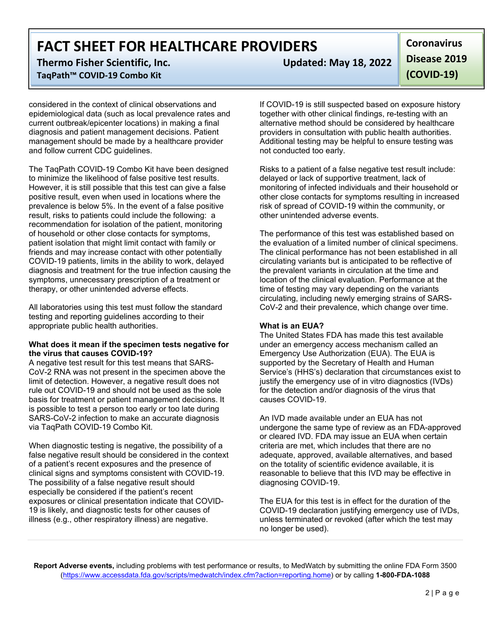**FACT SHEET FOR HEALTHCARE PROVIDERS**

**Thermo Fisher Scientific, Inc. Updated: May 18, 2022 TaqPath™ COVID-19 Combo Kit** 

considered in the context of clinical observations and epidemiological data (such as local prevalence rates and current outbreak/epicenter locations) in making a final diagnosis and patient management decisions. Patient management should be made by a healthcare provider and follow current CDC guidelines.

The TaqPath COVID-19 Combo Kit have been designed to minimize the likelihood of false positive test results. However, it is still possible that this test can give a false positive result, even when used in locations where the prevalence is below 5%. In the event of a false positive result, risks to patients could include the following: a recommendation for isolation of the patient, monitoring of household or other close contacts for symptoms, patient isolation that might limit contact with family or friends and may increase contact with other potentially COVID-19 patients, limits in the ability to work, delayed diagnosis and treatment for the true infection causing the symptoms, unnecessary prescription of a treatment or therapy, or other unintended adverse effects.

All laboratories using this test must follow the standard testing and reporting guidelines according to their appropriate public health authorities.

#### **What does it mean if the specimen tests negative for the virus that causes COVID-19?**

A negative test result for this test means that SARS-CoV-2 RNA was not present in the specimen above the limit of detection. However, a negative result does not rule out COVID-19 and should not be used as the sole basis for treatment or patient management decisions. It is possible to test a person too early or too late during SARS-CoV-2 infection to make an accurate diagnosis via TaqPath COVID-19 Combo Kit.

When diagnostic testing is negative, the possibility of a false negative result should be considered in the context of a patient's recent exposures and the presence of clinical signs and symptoms consistent with COVID-19. The possibility of a false negative result should especially be considered if the patient's recent exposures or clinical presentation indicate that COVID-19 is likely, and diagnostic tests for other causes of illness (e.g., other respiratory illness) are negative.

**Coronavirus Disease 2019 (COVID-19)**

If COVID-19 is still suspected based on exposure history together with other clinical findings, re-testing with an alternative method should be considered by healthcare providers in consultation with public health authorities. Additional testing may be helpful to ensure testing was not conducted too early.

Risks to a patient of a false negative test result include: delayed or lack of supportive treatment, lack of monitoring of infected individuals and their household or other close contacts for symptoms resulting in increased risk of spread of COVID-19 within the community, or other unintended adverse events.

The performance of this test was established based on the evaluation of a limited number of clinical specimens. The clinical performance has not been established in all circulating variants but is anticipated to be reflective of the prevalent variants in circulation at the time and location of the clinical evaluation. Performance at the time of testing may vary depending on the variants circulating, including newly emerging strains of SARS-CoV-2 and their prevalence, which change over time.

## **What is an EUA?**

The United States FDA has made this test available under an emergency access mechanism called an Emergency Use Authorization (EUA). The EUA is supported by the Secretary of Health and Human Service's (HHS's) declaration that circumstances exist to justify the emergency use of in vitro diagnostics (IVDs) for the detection and/or diagnosis of the virus that causes COVID-19.

An IVD made available under an EUA has not undergone the same type of review as an FDA-approved or cleared IVD. FDA may issue an EUA when certain criteria are met, which includes that there are no adequate, approved, available alternatives, and based on the totality of scientific evidence available, it is reasonable to believe that this IVD may be effective in diagnosing COVID-19.

The EUA for this test is in effect for the duration of the COVID-19 declaration justifying emergency use of IVDs, unless terminated or revoked (after which the test may no longer be used).

**Report Adverse events,** including problems with test performance or results, to MedWatch by submitting the online FDA Form 3500 [\(https://www.accessdata.fda.gov/scripts/medwatch/index.cfm?action=reporting.home\)](https://www.accessdata.fda.gov/scripts/medwatch/index.cfm?action=reporting.home) or by calling **1-800-FDA-1088**